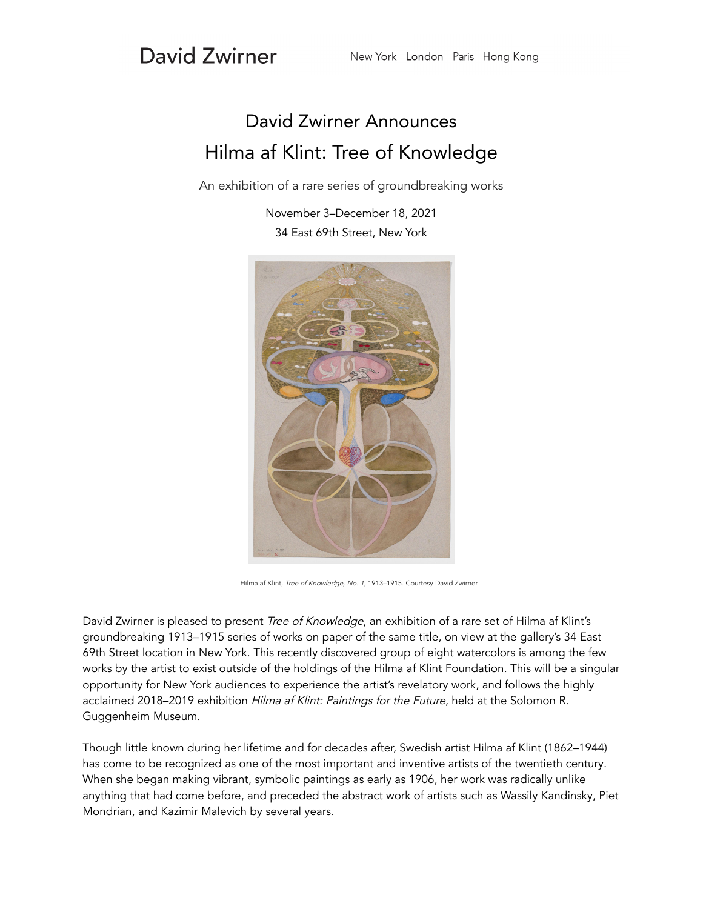## David Zwirner

## David Zwirner Announces Hilma af Klint: Tree of Knowledge

An exhibition of a rare series of groundbreaking works

November 3–December 18, 2021 34 East 69th Street, New York



Hilma af Klint, Tree of Knowledge, No. 1, 1913–1915. Courtesy David Zwirner

David Zwirner is pleased to present Tree of Knowledge, an exhibition of a rare set of Hilma af Klint's groundbreaking 1913–1915 series of works on paper of the same title, on view at the gallery's 34 East 69th Street location in New York. This recently discovered group of eight watercolors is among the few works by the artist to exist outside of the holdings of the Hilma af Klint Foundation. This will be a singular opportunity for New York audiences to experience the artist's revelatory work, and follows the highly acclaimed 2018–2019 exhibition Hilma af Klint: Paintings for the Future, held at the Solomon R. Guggenheim Museum.

Though little known during her lifetime and for decades after, Swedish artist Hilma af Klint (1862–1944) has come to be recognized as one of the most important and inventive artists of the twentieth century. When she began making vibrant, symbolic paintings as early as 1906, her work was radically unlike anything that had come before, and preceded the abstract work of artists such as Wassily Kandinsky, Piet Mondrian, and Kazimir Malevich by several years.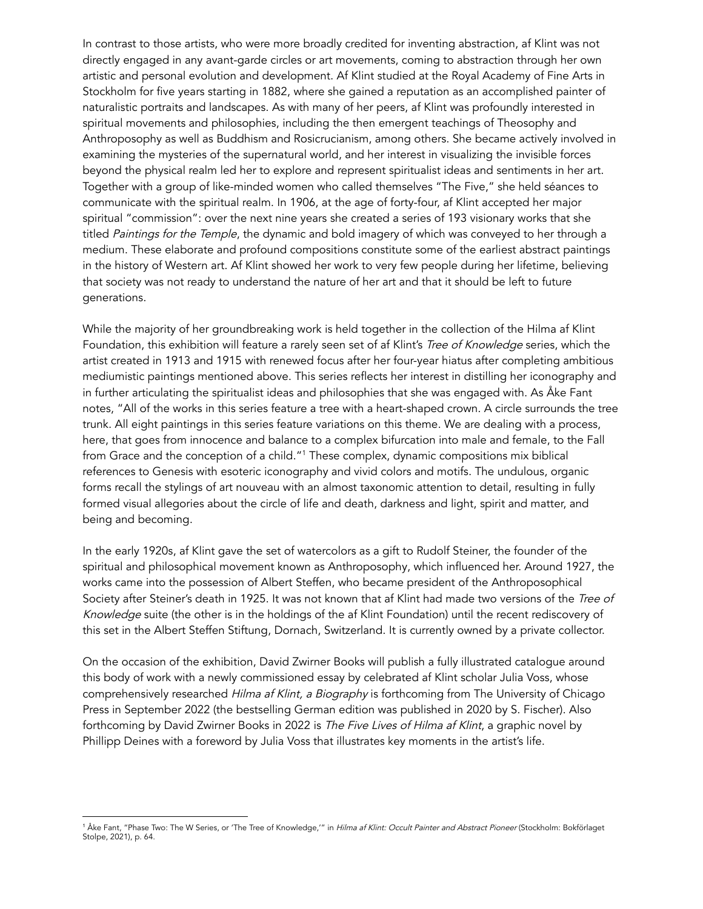In contrast to those artists, who were more broadly credited for inventing abstraction, af Klint was not directly engaged in any avant-garde circles or art movements, coming to abstraction through her own artistic and personal evolution and development. Af Klint studied at the Royal Academy of Fine Arts in Stockholm for five years starting in 1882, where she gained a reputation as an accomplished painter of naturalistic portraits and landscapes. As with many of her peers, af Klint was profoundly interested in spiritual movements and philosophies, including the then emergent teachings of Theosophy and Anthroposophy as well as Buddhism and Rosicrucianism, among others. She became actively involved in examining the mysteries of the supernatural world, and her interest in visualizing the invisible forces beyond the physical realm led her to explore and represent spiritualist ideas and sentiments in her art. Together with a group of like-minded women who called themselves "The Five," she held séances to communicate with the spiritual realm. In 1906, at the age of forty-four, af Klint accepted her major spiritual "commission": over the next nine years she created a series of 193 visionary works that she titled Paintings for the Temple, the dynamic and bold imagery of which was conveyed to her through a medium. These elaborate and profound compositions constitute some of the earliest abstract paintings in the history of Western art. Af Klint showed her work to very few people during her lifetime, believing that society was not ready to understand the nature of her art and that it should be left to future generations.

While the majority of her groundbreaking work is held together in the collection of the Hilma af Klint Foundation, this exhibition will feature a rarely seen set of af Klint's Tree of Knowledge series, which the artist created in 1913 and 1915 with renewed focus after her four-year hiatus after completing ambitious mediumistic paintings mentioned above. This series reflects her interest in distilling her iconography and in further articulating the spiritualist ideas and philosophies that she was engaged with. As Åke Fant notes, "All of the works in this series feature a tree with a heart-shaped crown. A circle surrounds the tree trunk. All eight paintings in this series feature variations on this theme. We are dealing with a process, here, that goes from innocence and balance to a complex bifurcation into male and female, to the Fall from Grace and the conception of a child."<sup>1</sup> These complex, dynamic compositions mix biblical references to Genesis with esoteric iconography and vivid colors and motifs. The undulous, organic forms recall the stylings of art nouveau with an almost taxonomic attention to detail, resulting in fully formed visual allegories about the circle of life and death, darkness and light, spirit and matter, and being and becoming.

In the early 1920s, af Klint gave the set of watercolors as a gift to Rudolf Steiner, the founder of the spiritual and philosophical movement known as Anthroposophy, which influenced her. Around 1927, the works came into the possession of Albert Steffen, who became president of the Anthroposophical Society after Steiner's death in 1925. It was not known that af Klint had made two versions of the Tree of Knowledge suite (the other is in the holdings of the af Klint Foundation) until the recent rediscovery of this set in the Albert Steffen Stiftung, Dornach, Switzerland. It is currently owned by a private collector.

On the occasion of the exhibition, David Zwirner Books will publish a fully illustrated catalogue around this body of work with a newly commissioned essay by celebrated af Klint scholar Julia Voss, whose comprehensively researched Hilma af Klint, a Biography is forthcoming from The University of Chicago Press in September 2022 (the bestselling German edition was published in 2020 by S. Fischer). Also forthcoming by David Zwirner Books in 2022 is The Five Lives of Hilma af Klint, a graphic novel by Phillipp Deines with a foreword by Julia Voss that illustrates key moments in the artist's life.

<sup>&</sup>lt;sup>1</sup> Åke Fant, "Phase Two: The W Series, or 'The Tree of Knowledge,'" in *Hilma af Klint: Occult Painter and Abstract Pioneer* (Stockholm: Bokförlaget Stolpe, 2021), p. 64.